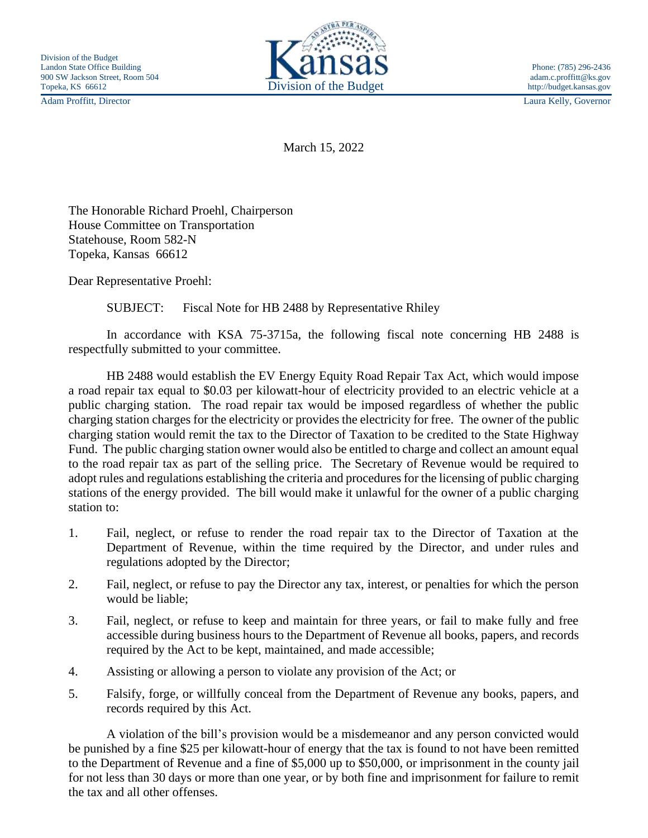

Adam Proffitt, Director Laura Kelly, Governor

March 15, 2022

The Honorable Richard Proehl, Chairperson House Committee on Transportation Statehouse, Room 582-N Topeka, Kansas 66612

Dear Representative Proehl:

SUBJECT: Fiscal Note for HB 2488 by Representative Rhiley

In accordance with KSA 75-3715a, the following fiscal note concerning HB 2488 is respectfully submitted to your committee.

HB 2488 would establish the EV Energy Equity Road Repair Tax Act, which would impose a road repair tax equal to \$0.03 per kilowatt-hour of electricity provided to an electric vehicle at a public charging station. The road repair tax would be imposed regardless of whether the public charging station charges for the electricity or provides the electricity for free. The owner of the public charging station would remit the tax to the Director of Taxation to be credited to the State Highway Fund. The public charging station owner would also be entitled to charge and collect an amount equal to the road repair tax as part of the selling price. The Secretary of Revenue would be required to adopt rules and regulations establishing the criteria and procedures for the licensing of public charging stations of the energy provided. The bill would make it unlawful for the owner of a public charging station to:

- 1. Fail, neglect, or refuse to render the road repair tax to the Director of Taxation at the Department of Revenue, within the time required by the Director, and under rules and regulations adopted by the Director;
- 2. Fail, neglect, or refuse to pay the Director any tax, interest, or penalties for which the person would be liable;
- 3. Fail, neglect, or refuse to keep and maintain for three years, or fail to make fully and free accessible during business hours to the Department of Revenue all books, papers, and records required by the Act to be kept, maintained, and made accessible;
- 4. Assisting or allowing a person to violate any provision of the Act; or
- 5. Falsify, forge, or willfully conceal from the Department of Revenue any books, papers, and records required by this Act.

A violation of the bill's provision would be a misdemeanor and any person convicted would be punished by a fine \$25 per kilowatt-hour of energy that the tax is found to not have been remitted to the Department of Revenue and a fine of \$5,000 up to \$50,000, or imprisonment in the county jail for not less than 30 days or more than one year, or by both fine and imprisonment for failure to remit the tax and all other offenses.